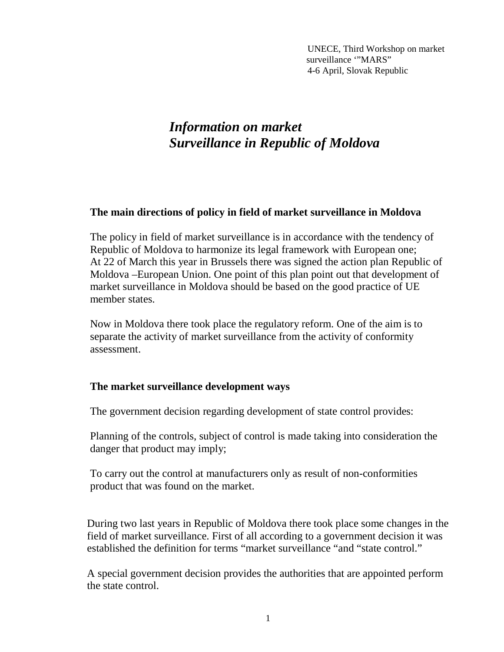UNECE, Third Workshop on market surveillance "MARS" 4-6 April, Slovak Republic

## *Information on market Surveillance in Republic of Moldova*

## **The main directions of policy in field of market surveillance in Moldova**

The policy in field of market surveillance is in accordance with the tendency of Republic of Moldova to harmonize its legal framework with European one; At 22 of March this year in Brussels there was signed the action plan Republic of Moldova –European Union. One point of this plan point out that development of market surveillance in Moldova should be based on the good practice of UE member states.

Now in Moldova there took place the regulatory reform. One of the aim is to separate the activity of market surveillance from the activity of conformity assessment.

## **The market surveillance development ways**

The government decision regarding development of state control provides:

Planning of the controls, subject of control is made taking into consideration the danger that product may imply;

To carry out the control at manufacturers only as result of non-conformities product that was found on the market.

During two last years in Republic of Moldova there took place some changes in the field of market surveillance. First of all according to a government decision it was established the definition for terms "market surveillance "and "state control."

A special government decision provides the authorities that are appointed perform the state control.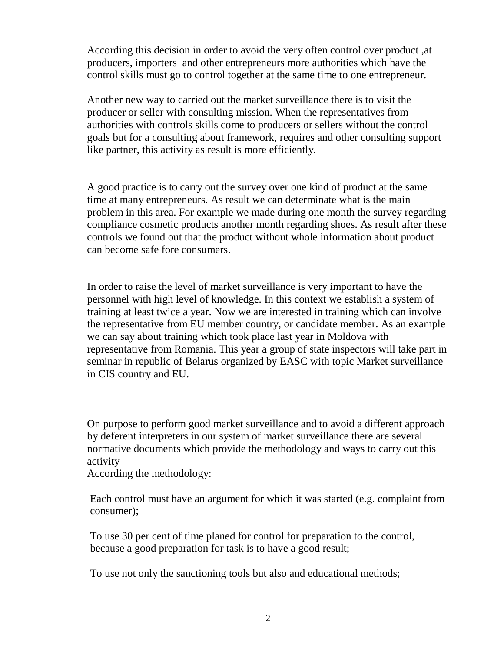According this decision in order to avoid the very often control over product ,at producers, importers and other entrepreneurs more authorities which have the control skills must go to control together at the same time to one entrepreneur.

Another new way to carried out the market surveillance there is to visit the producer or seller with consulting mission. When the representatives from authorities with controls skills come to producers or sellers without the control goals but for a consulting about framework, requires and other consulting support like partner, this activity as result is more efficiently.

A good practice is to carry out the survey over one kind of product at the same time at many entrepreneurs. As result we can determinate what is the main problem in this area. For example we made during one month the survey regarding compliance cosmetic products another month regarding shoes. As result after these controls we found out that the product without whole information about product can become safe fore consumers.

In order to raise the level of market surveillance is very important to have the personnel with high level of knowledge. In this context we establish a system of training at least twice a year. Now we are interested in training which can involve the representative from EU member country, or candidate member. As an example we can say about training which took place last year in Moldova with representative from Romania. This year a group of state inspectors will take part in seminar in republic of Belarus organized by EASC with topic Market surveillance in CIS country and EU.

On purpose to perform good market surveillance and to avoid a different approach by deferent interpreters in our system of market surveillance there are several normative documents which provide the methodology and ways to carry out this activity

According the methodology:

Each control must have an argument for which it was started (e.g. complaint from consumer);

To use 30 per cent of time planed for control for preparation to the control, because a good preparation for task is to have a good result;

To use not only the sanctioning tools but also and educational methods;